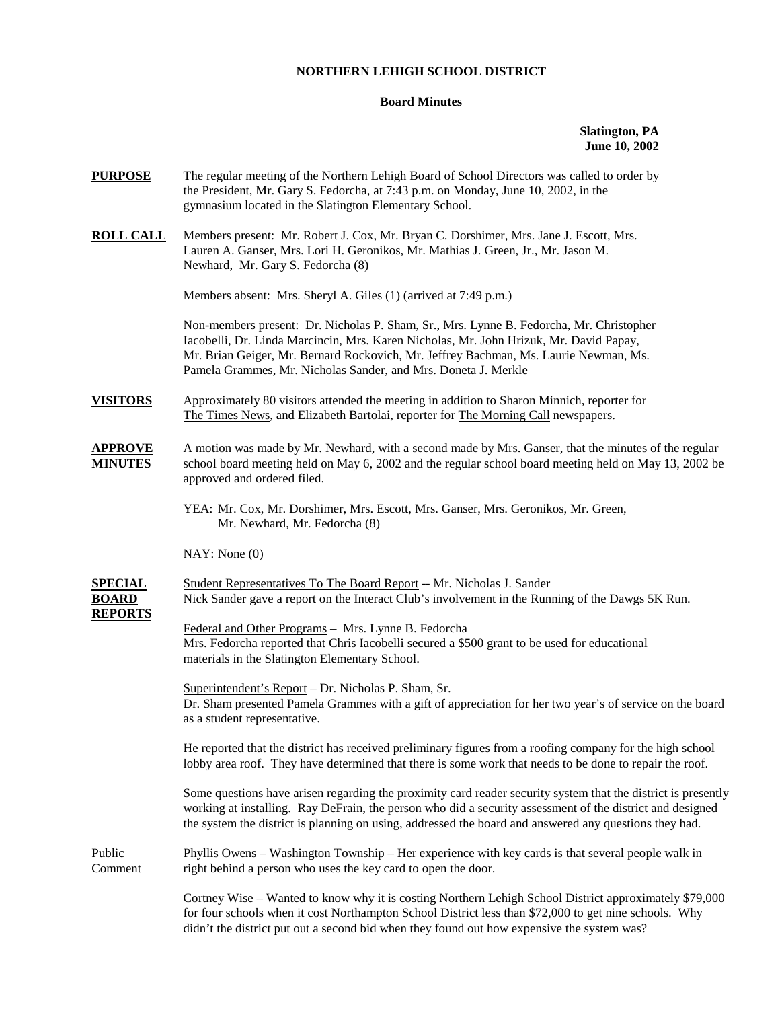# **NORTHERN LEHIGH SCHOOL DISTRICT**

## **Board Minutes**

**Slatington, PA June 10, 2002** 

| <b>PURPOSE</b>                                   | The regular meeting of the Northern Lehigh Board of School Directors was called to order by<br>the President, Mr. Gary S. Fedorcha, at 7:43 p.m. on Monday, June 10, 2002, in the<br>gymnasium located in the Slatington Elementary School.                                                                                                 |  |  |  |
|--------------------------------------------------|---------------------------------------------------------------------------------------------------------------------------------------------------------------------------------------------------------------------------------------------------------------------------------------------------------------------------------------------|--|--|--|
| <u>ROLL CALL</u>                                 | Members present: Mr. Robert J. Cox, Mr. Bryan C. Dorshimer, Mrs. Jane J. Escott, Mrs.<br>Lauren A. Ganser, Mrs. Lori H. Geronikos, Mr. Mathias J. Green, Jr., Mr. Jason M.<br>Newhard, Mr. Gary S. Fedorcha (8)                                                                                                                             |  |  |  |
|                                                  | Members absent: Mrs. Sheryl A. Giles (1) (arrived at 7:49 p.m.)                                                                                                                                                                                                                                                                             |  |  |  |
|                                                  | Non-members present: Dr. Nicholas P. Sham, Sr., Mrs. Lynne B. Fedorcha, Mr. Christopher<br>Iacobelli, Dr. Linda Marcincin, Mrs. Karen Nicholas, Mr. John Hrizuk, Mr. David Papay,<br>Mr. Brian Geiger, Mr. Bernard Rockovich, Mr. Jeffrey Bachman, Ms. Laurie Newman, Ms.<br>Pamela Grammes, Mr. Nicholas Sander, and Mrs. Doneta J. Merkle |  |  |  |
| <b>VISITORS</b>                                  | Approximately 80 visitors attended the meeting in addition to Sharon Minnich, reporter for<br>The Times News, and Elizabeth Bartolai, reporter for The Morning Call newspapers.                                                                                                                                                             |  |  |  |
| <u>APPROVE</u><br><b>MINUTES</b>                 | A motion was made by Mr. Newhard, with a second made by Mrs. Ganser, that the minutes of the regular<br>school board meeting held on May 6, 2002 and the regular school board meeting held on May 13, 2002 be<br>approved and ordered filed.                                                                                                |  |  |  |
|                                                  | YEA: Mr. Cox, Mr. Dorshimer, Mrs. Escott, Mrs. Ganser, Mrs. Geronikos, Mr. Green,<br>Mr. Newhard, Mr. Fedorcha (8)                                                                                                                                                                                                                          |  |  |  |
|                                                  | NAY: None(0)                                                                                                                                                                                                                                                                                                                                |  |  |  |
| <u>SPECIAL</u><br><b>BOARD</b><br><b>REPORTS</b> | Student Representatives To The Board Report -- Mr. Nicholas J. Sander<br>Nick Sander gave a report on the Interact Club's involvement in the Running of the Dawgs 5K Run.                                                                                                                                                                   |  |  |  |
|                                                  | Federal and Other Programs - Mrs. Lynne B. Fedorcha<br>Mrs. Fedorcha reported that Chris Iacobelli secured a \$500 grant to be used for educational<br>materials in the Slatington Elementary School.                                                                                                                                       |  |  |  |
|                                                  | Superintendent's Report - Dr. Nicholas P. Sham, Sr.<br>Dr. Sham presented Pamela Grammes with a gift of appreciation for her two year's of service on the board<br>as a student representative.                                                                                                                                             |  |  |  |
|                                                  | He reported that the district has received preliminary figures from a roofing company for the high school<br>lobby area roof. They have determined that there is some work that needs to be done to repair the roof.                                                                                                                        |  |  |  |
|                                                  | Some questions have arisen regarding the proximity card reader security system that the district is presently<br>working at installing. Ray DeFrain, the person who did a security assessment of the district and designed<br>the system the district is planning on using, addressed the board and answered any questions they had.        |  |  |  |
| Public<br>Comment                                | Phyllis Owens – Washington Township – Her experience with key cards is that several people walk in<br>right behind a person who uses the key card to open the door.                                                                                                                                                                         |  |  |  |
|                                                  | Cortney Wise – Wanted to know why it is costing Northern Lehigh School District approximately \$79,000<br>for four schools when it cost Northampton School District less than \$72,000 to get nine schools. Why<br>didn't the district put out a second bid when they found out how expensive the system was?                               |  |  |  |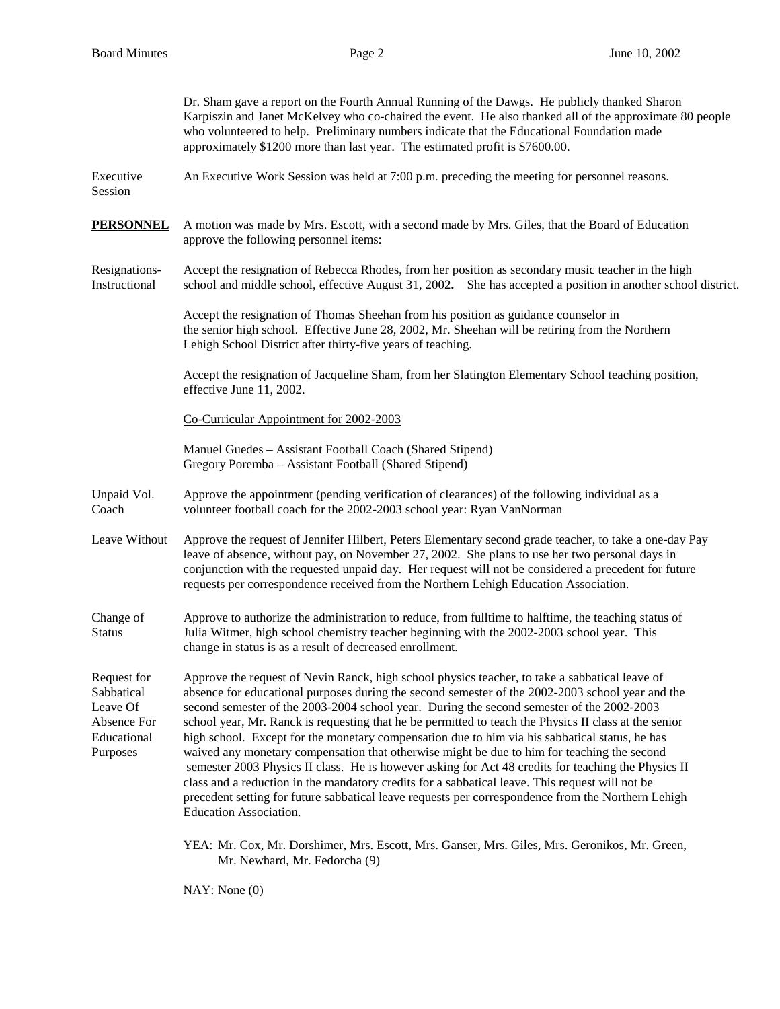|                                                                                 | Dr. Sham gave a report on the Fourth Annual Running of the Dawgs. He publicly thanked Sharon<br>Karpiszin and Janet McKelvey who co-chaired the event. He also thanked all of the approximate 80 people<br>who volunteered to help. Preliminary numbers indicate that the Educational Foundation made<br>approximately \$1200 more than last year. The estimated profit is \$7600.00.                                                                                                                                                                                                                                                                                                                                                                                                                                                                                                                                                               |  |  |  |  |  |
|---------------------------------------------------------------------------------|-----------------------------------------------------------------------------------------------------------------------------------------------------------------------------------------------------------------------------------------------------------------------------------------------------------------------------------------------------------------------------------------------------------------------------------------------------------------------------------------------------------------------------------------------------------------------------------------------------------------------------------------------------------------------------------------------------------------------------------------------------------------------------------------------------------------------------------------------------------------------------------------------------------------------------------------------------|--|--|--|--|--|
| Executive<br>Session                                                            | An Executive Work Session was held at 7:00 p.m. preceding the meeting for personnel reasons.                                                                                                                                                                                                                                                                                                                                                                                                                                                                                                                                                                                                                                                                                                                                                                                                                                                        |  |  |  |  |  |
| <b>PERSONNEL</b>                                                                | A motion was made by Mrs. Escott, with a second made by Mrs. Giles, that the Board of Education<br>approve the following personnel items:                                                                                                                                                                                                                                                                                                                                                                                                                                                                                                                                                                                                                                                                                                                                                                                                           |  |  |  |  |  |
| Resignations-<br>Instructional                                                  | Accept the resignation of Rebecca Rhodes, from her position as secondary music teacher in the high<br>school and middle school, effective August 31, 2002. She has accepted a position in another school district.                                                                                                                                                                                                                                                                                                                                                                                                                                                                                                                                                                                                                                                                                                                                  |  |  |  |  |  |
|                                                                                 | Accept the resignation of Thomas Sheehan from his position as guidance counselor in<br>the senior high school. Effective June 28, 2002, Mr. Sheehan will be retiring from the Northern<br>Lehigh School District after thirty-five years of teaching.                                                                                                                                                                                                                                                                                                                                                                                                                                                                                                                                                                                                                                                                                               |  |  |  |  |  |
|                                                                                 | Accept the resignation of Jacqueline Sham, from her Slatington Elementary School teaching position,<br>effective June 11, 2002.                                                                                                                                                                                                                                                                                                                                                                                                                                                                                                                                                                                                                                                                                                                                                                                                                     |  |  |  |  |  |
|                                                                                 | Co-Curricular Appointment for 2002-2003                                                                                                                                                                                                                                                                                                                                                                                                                                                                                                                                                                                                                                                                                                                                                                                                                                                                                                             |  |  |  |  |  |
|                                                                                 | Manuel Guedes - Assistant Football Coach (Shared Stipend)<br>Gregory Poremba - Assistant Football (Shared Stipend)                                                                                                                                                                                                                                                                                                                                                                                                                                                                                                                                                                                                                                                                                                                                                                                                                                  |  |  |  |  |  |
| Unpaid Vol.<br>Coach                                                            | Approve the appointment (pending verification of clearances) of the following individual as a<br>volunteer football coach for the 2002-2003 school year: Ryan VanNorman                                                                                                                                                                                                                                                                                                                                                                                                                                                                                                                                                                                                                                                                                                                                                                             |  |  |  |  |  |
| Leave Without                                                                   | Approve the request of Jennifer Hilbert, Peters Elementary second grade teacher, to take a one-day Pay<br>leave of absence, without pay, on November 27, 2002. She plans to use her two personal days in<br>conjunction with the requested unpaid day. Her request will not be considered a precedent for future<br>requests per correspondence received from the Northern Lehigh Education Association.                                                                                                                                                                                                                                                                                                                                                                                                                                                                                                                                            |  |  |  |  |  |
| Change of<br><b>Status</b>                                                      | Approve to authorize the administration to reduce, from fulltime to halftime, the teaching status of<br>Julia Witmer, high school chemistry teacher beginning with the 2002-2003 school year. This<br>change in status is as a result of decreased enrollment.                                                                                                                                                                                                                                                                                                                                                                                                                                                                                                                                                                                                                                                                                      |  |  |  |  |  |
| Request for<br>Sabbatical<br>Leave Of<br>Absence For<br>Educational<br>Purposes | Approve the request of Nevin Ranck, high school physics teacher, to take a sabbatical leave of<br>absence for educational purposes during the second semester of the 2002-2003 school year and the<br>second semester of the 2003-2004 school year. During the second semester of the 2002-2003<br>school year, Mr. Ranck is requesting that he be permitted to teach the Physics II class at the senior<br>high school. Except for the monetary compensation due to him via his sabbatical status, he has<br>waived any monetary compensation that otherwise might be due to him for teaching the second<br>semester 2003 Physics II class. He is however asking for Act 48 credits for teaching the Physics II<br>class and a reduction in the mandatory credits for a sabbatical leave. This request will not be<br>precedent setting for future sabbatical leave requests per correspondence from the Northern Lehigh<br>Education Association. |  |  |  |  |  |
|                                                                                 | YEA: Mr. Cox, Mr. Dorshimer, Mrs. Escott, Mrs. Ganser, Mrs. Giles, Mrs. Geronikos, Mr. Green,<br>Mr. Newhard, Mr. Fedorcha (9)                                                                                                                                                                                                                                                                                                                                                                                                                                                                                                                                                                                                                                                                                                                                                                                                                      |  |  |  |  |  |

NAY: None (0)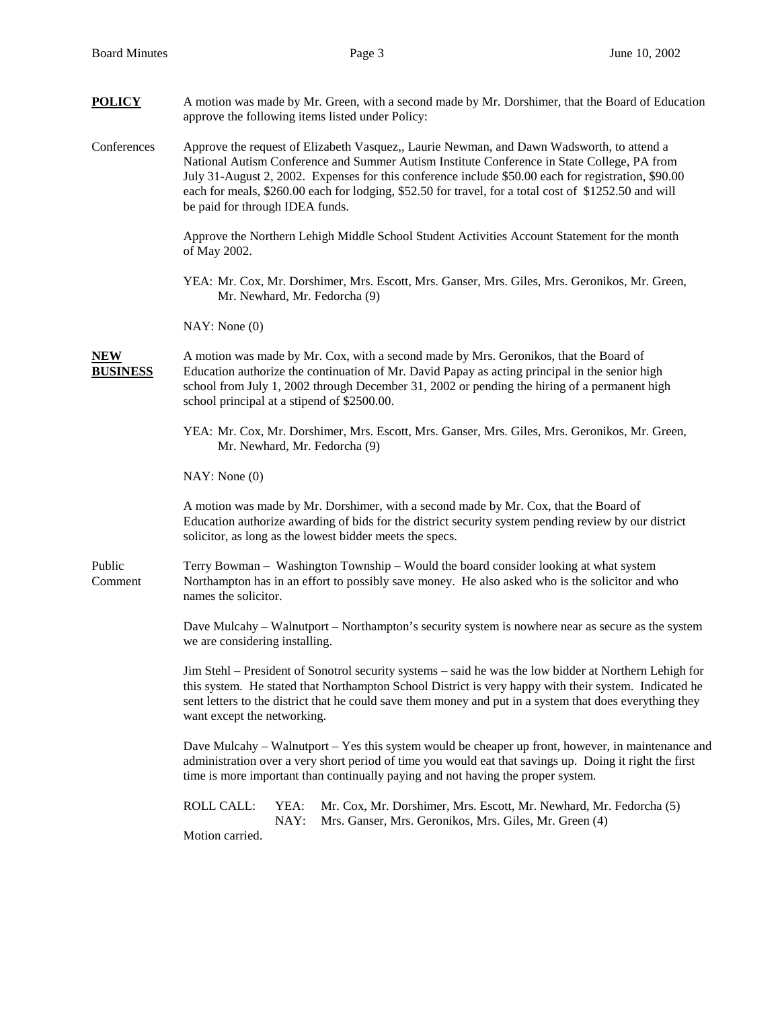| <b>POLICY</b>                 | A motion was made by Mr. Green, with a second made by Mr. Dorshimer, that the Board of Education<br>approve the following items listed under Policy:                                                                                                                                                                                                                                                                                        |  |  |  |  |
|-------------------------------|---------------------------------------------------------------------------------------------------------------------------------------------------------------------------------------------------------------------------------------------------------------------------------------------------------------------------------------------------------------------------------------------------------------------------------------------|--|--|--|--|
| Conferences                   | Approve the request of Elizabeth Vasquez,, Laurie Newman, and Dawn Wadsworth, to attend a<br>National Autism Conference and Summer Autism Institute Conference in State College, PA from<br>July 31-August 2, 2002. Expenses for this conference include \$50.00 each for registration, \$90.00<br>each for meals, \$260.00 each for lodging, \$52.50 for travel, for a total cost of \$1252.50 and will<br>be paid for through IDEA funds. |  |  |  |  |
|                               | Approve the Northern Lehigh Middle School Student Activities Account Statement for the month<br>of May 2002.                                                                                                                                                                                                                                                                                                                                |  |  |  |  |
|                               | YEA: Mr. Cox, Mr. Dorshimer, Mrs. Escott, Mrs. Ganser, Mrs. Giles, Mrs. Geronikos, Mr. Green,<br>Mr. Newhard, Mr. Fedorcha (9)                                                                                                                                                                                                                                                                                                              |  |  |  |  |
|                               | NAY: None(0)                                                                                                                                                                                                                                                                                                                                                                                                                                |  |  |  |  |
| <b>NEW</b><br><b>BUSINESS</b> | A motion was made by Mr. Cox, with a second made by Mrs. Geronikos, that the Board of<br>Education authorize the continuation of Mr. David Papay as acting principal in the senior high<br>school from July 1, 2002 through December 31, 2002 or pending the hiring of a permanent high<br>school principal at a stipend of \$2500.00.                                                                                                      |  |  |  |  |
|                               | YEA: Mr. Cox, Mr. Dorshimer, Mrs. Escott, Mrs. Ganser, Mrs. Giles, Mrs. Geronikos, Mr. Green,<br>Mr. Newhard, Mr. Fedorcha (9)                                                                                                                                                                                                                                                                                                              |  |  |  |  |
|                               | NAY: None(0)                                                                                                                                                                                                                                                                                                                                                                                                                                |  |  |  |  |
|                               | A motion was made by Mr. Dorshimer, with a second made by Mr. Cox, that the Board of<br>Education authorize awarding of bids for the district security system pending review by our district<br>solicitor, as long as the lowest bidder meets the specs.                                                                                                                                                                                    |  |  |  |  |
| Public<br>Comment             | Terry Bowman – Washington Township – Would the board consider looking at what system<br>Northampton has in an effort to possibly save money. He also asked who is the solicitor and who<br>names the solicitor.                                                                                                                                                                                                                             |  |  |  |  |
|                               | Dave Mulcahy - Walnutport - Northampton's security system is nowhere near as secure as the system<br>we are considering installing.                                                                                                                                                                                                                                                                                                         |  |  |  |  |
|                               | Jim Stehl – President of Sonotrol security systems – said he was the low bidder at Northern Lehigh for<br>this system. He stated that Northampton School District is very happy with their system. Indicated he<br>sent letters to the district that he could save them money and put in a system that does everything they<br>want except the networking.                                                                                  |  |  |  |  |
|                               | Dave Mulcahy – Walnutport – Yes this system would be cheaper up front, however, in maintenance and<br>administration over a very short period of time you would eat that savings up. Doing it right the first<br>time is more important than continually paying and not having the proper system.                                                                                                                                           |  |  |  |  |
|                               | <b>ROLL CALL:</b><br>YEA:<br>Mr. Cox, Mr. Dorshimer, Mrs. Escott, Mr. Newhard, Mr. Fedorcha (5)<br>Mrs. Ganser, Mrs. Geronikos, Mrs. Giles, Mr. Green (4)<br>NAY:<br>Motion carried.                                                                                                                                                                                                                                                        |  |  |  |  |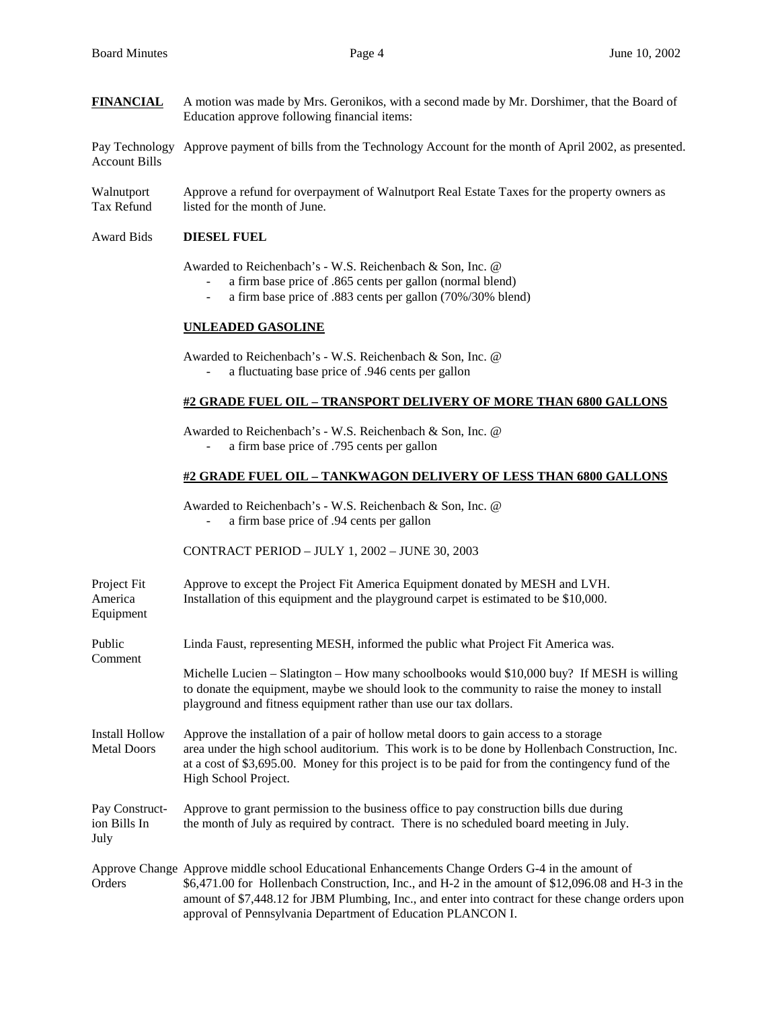**FINANCIAL** A motion was made by Mrs. Geronikos, with a second made by Mr. Dorshimer, that the Board of Education approve following financial items:

Pay Technology Approve payment of bills from the Technology Account for the month of April 2002, as presented. Account Bills

Walnutport Approve a refund for overpayment of Walnutport Real Estate Taxes for the property owners as Tax Refund listed for the month of June.

#### Award Bids **DIESEL FUEL**

Awarded to Reichenbach's - W.S. Reichenbach & Son, Inc. @

- a firm base price of .865 cents per gallon (normal blend)
- a firm base price of .883 cents per gallon (70%/30% blend)

### **UNLEADED GASOLINE**

 Awarded to Reichenbach's - W.S. Reichenbach & Son, Inc. @ - a fluctuating base price of .946 cents per gallon

#### **#2 GRADE FUEL OIL – TRANSPORT DELIVERY OF MORE THAN 6800 GALLONS**

Awarded to Reichenbach's - W.S. Reichenbach & Son, Inc. @

- a firm base price of .795 cents per gallon

# **#2 GRADE FUEL OIL – TANKWAGON DELIVERY OF LESS THAN 6800 GALLONS**

 Awarded to Reichenbach's - W.S. Reichenbach & Son, Inc. @ - a firm base price of .94 cents per gallon

CONTRACT PERIOD – JULY 1, 2002 – JUNE 30, 2003

| Project Fit<br>America<br>Equipment         | Approve to except the Project Fit America Equipment donated by MESH and LVH.<br>Installation of this equipment and the playground carpet is estimated to be \$10,000.                                                                                                                                                                                                     |  |  |  |  |  |
|---------------------------------------------|---------------------------------------------------------------------------------------------------------------------------------------------------------------------------------------------------------------------------------------------------------------------------------------------------------------------------------------------------------------------------|--|--|--|--|--|
| Public<br>Comment                           | Linda Faust, representing MESH, informed the public what Project Fit America was.                                                                                                                                                                                                                                                                                         |  |  |  |  |  |
|                                             | Michelle Lucien – Slatington – How many schoolbooks would \$10,000 buy? If MESH is willing<br>to donate the equipment, maybe we should look to the community to raise the money to install<br>playground and fitness equipment rather than use our tax dollars.                                                                                                           |  |  |  |  |  |
| <b>Install Hollow</b><br><b>Metal Doors</b> | Approve the installation of a pair of hollow metal doors to gain access to a storage<br>area under the high school auditorium. This work is to be done by Hollenbach Construction, Inc.<br>at a cost of \$3,695.00. Money for this project is to be paid for from the contingency fund of the<br>High School Project.                                                     |  |  |  |  |  |
| Pay Construct-<br>ion Bills In<br>July      | Approve to grant permission to the business office to pay construction bills due during<br>the month of July as required by contract. There is no scheduled board meeting in July.                                                                                                                                                                                        |  |  |  |  |  |
| Orders                                      | Approve Change Approve middle school Educational Enhancements Change Orders G-4 in the amount of<br>\$6,471.00 for Hollenbach Construction, Inc., and H-2 in the amount of \$12,096.08 and H-3 in the<br>amount of \$7,448.12 for JBM Plumbing, Inc., and enter into contract for these change orders upon<br>approval of Pennsylvania Department of Education PLANCON I. |  |  |  |  |  |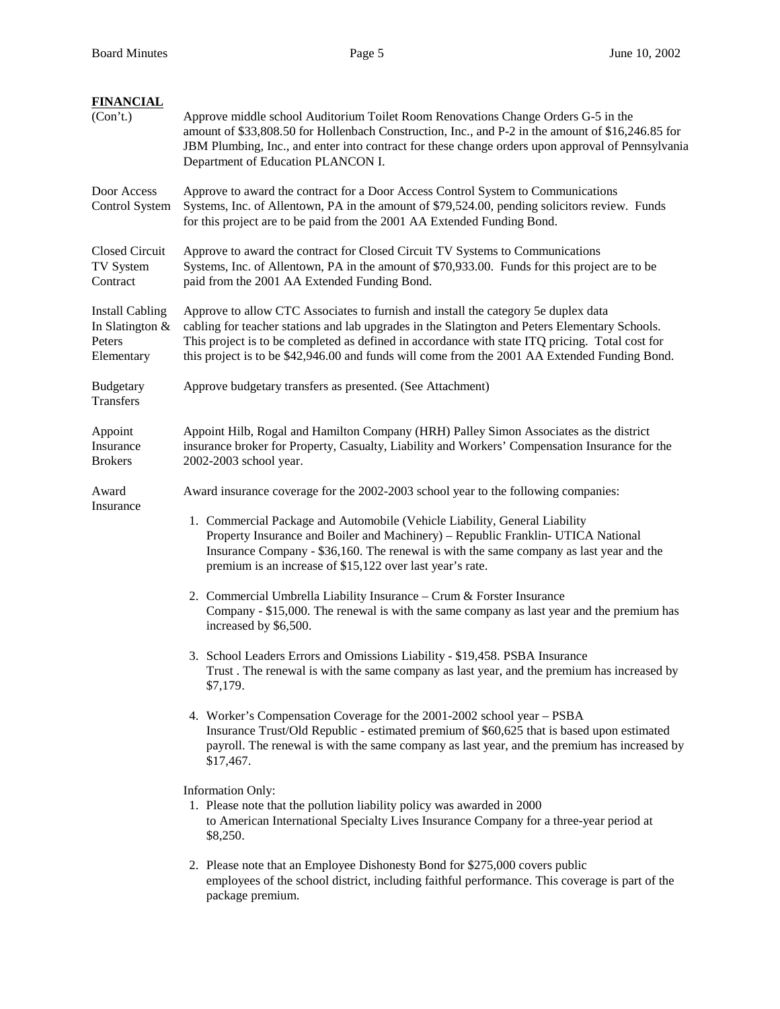| <b>FINANCIAL</b><br>(Con't.)                                      | Approve middle school Auditorium Toilet Room Renovations Change Orders G-5 in the<br>amount of \$33,808.50 for Hollenbach Construction, Inc., and P-2 in the amount of \$16,246.85 for<br>JBM Plumbing, Inc., and enter into contract for these change orders upon approval of Pennsylvania<br>Department of Education PLANCON I.                                                        |  |  |  |  |  |
|-------------------------------------------------------------------|------------------------------------------------------------------------------------------------------------------------------------------------------------------------------------------------------------------------------------------------------------------------------------------------------------------------------------------------------------------------------------------|--|--|--|--|--|
| Door Access<br>Control System                                     | Approve to award the contract for a Door Access Control System to Communications<br>Systems, Inc. of Allentown, PA in the amount of \$79,524.00, pending solicitors review. Funds<br>for this project are to be paid from the 2001 AA Extended Funding Bond.                                                                                                                             |  |  |  |  |  |
| <b>Closed Circuit</b><br>TV System<br>Contract                    | Approve to award the contract for Closed Circuit TV Systems to Communications<br>Systems, Inc. of Allentown, PA in the amount of \$70,933.00. Funds for this project are to be<br>paid from the 2001 AA Extended Funding Bond.                                                                                                                                                           |  |  |  |  |  |
| <b>Install Cabling</b><br>In Slatington &<br>Peters<br>Elementary | Approve to allow CTC Associates to furnish and install the category 5e duplex data<br>cabling for teacher stations and lab upgrades in the Slatington and Peters Elementary Schools.<br>This project is to be completed as defined in accordance with state ITQ pricing. Total cost for<br>this project is to be \$42,946.00 and funds will come from the 2001 AA Extended Funding Bond. |  |  |  |  |  |
| Budgetary<br><b>Transfers</b>                                     | Approve budgetary transfers as presented. (See Attachment)                                                                                                                                                                                                                                                                                                                               |  |  |  |  |  |
| Appoint<br>Insurance<br><b>Brokers</b>                            | Appoint Hilb, Rogal and Hamilton Company (HRH) Palley Simon Associates as the district<br>insurance broker for Property, Casualty, Liability and Workers' Compensation Insurance for the<br>2002-2003 school year.                                                                                                                                                                       |  |  |  |  |  |
| Award                                                             | Award insurance coverage for the 2002-2003 school year to the following companies:                                                                                                                                                                                                                                                                                                       |  |  |  |  |  |
| Insurance                                                         | 1. Commercial Package and Automobile (Vehicle Liability, General Liability<br>Property Insurance and Boiler and Machinery) - Republic Franklin- UTICA National<br>Insurance Company - \$36,160. The renewal is with the same company as last year and the<br>premium is an increase of \$15,122 over last year's rate.                                                                   |  |  |  |  |  |
|                                                                   | 2. Commercial Umbrella Liability Insurance - Crum & Forster Insurance<br>Company - \$15,000. The renewal is with the same company as last year and the premium has<br>increased by \$6,500.                                                                                                                                                                                              |  |  |  |  |  |
|                                                                   | 3. School Leaders Errors and Omissions Liability - \$19,458. PSBA Insurance<br>Trust. The renewal is with the same company as last year, and the premium has increased by<br>\$7,179.                                                                                                                                                                                                    |  |  |  |  |  |
|                                                                   | 4. Worker's Compensation Coverage for the 2001-2002 school year – PSBA<br>Insurance Trust/Old Republic - estimated premium of \$60,625 that is based upon estimated<br>payroll. The renewal is with the same company as last year, and the premium has increased by<br>\$17,467.                                                                                                         |  |  |  |  |  |
|                                                                   | <b>Information Only:</b><br>1. Please note that the pollution liability policy was awarded in 2000<br>to American International Specialty Lives Insurance Company for a three-year period at<br>\$8,250.                                                                                                                                                                                 |  |  |  |  |  |
|                                                                   | 2. Please note that an Employee Dishonesty Bond for \$275,000 covers public<br>employees of the school district, including faithful performance. This coverage is part of the<br>package premium.                                                                                                                                                                                        |  |  |  |  |  |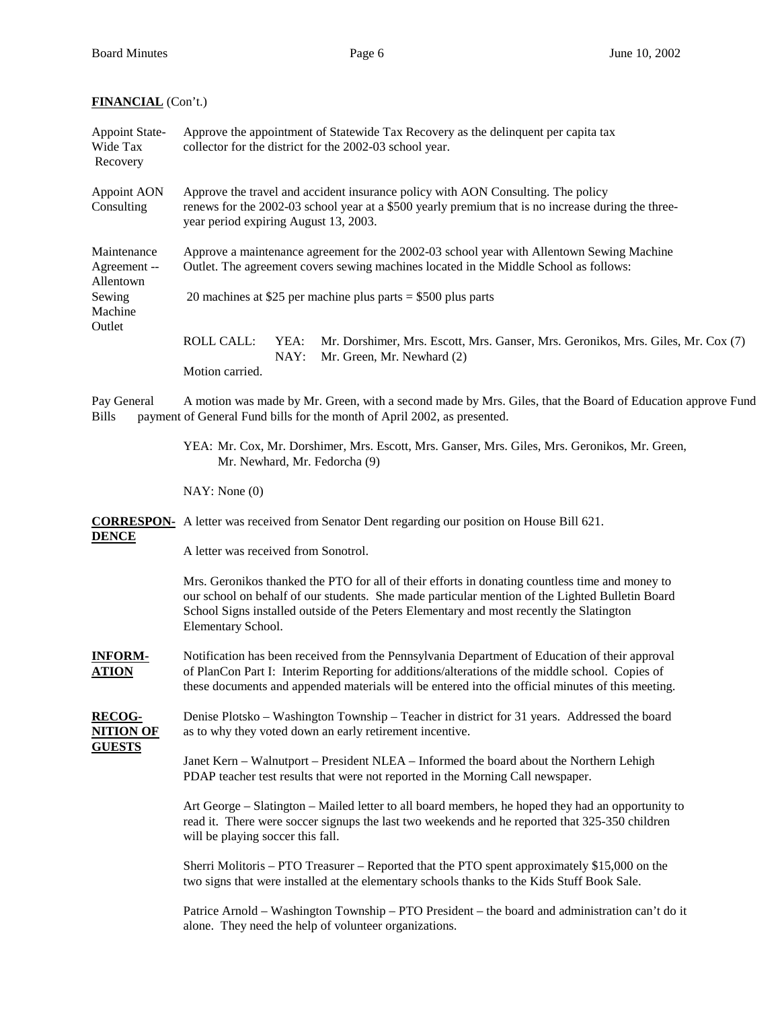# **FINANCIAL** (Con't.)

| <b>Appoint State-</b><br>Wide Tax<br>Recovery      | Approve the appointment of Statewide Tax Recovery as the delinquent per capita tax<br>collector for the district for the 2002-03 school year.                                                                                                                                                                        |  |  |  |  |  |
|----------------------------------------------------|----------------------------------------------------------------------------------------------------------------------------------------------------------------------------------------------------------------------------------------------------------------------------------------------------------------------|--|--|--|--|--|
| Appoint AON<br>Consulting                          | Approve the travel and accident insurance policy with AON Consulting. The policy<br>renews for the 2002-03 school year at a \$500 yearly premium that is no increase during the three-<br>year period expiring August 13, 2003.                                                                                      |  |  |  |  |  |
| Maintenance<br>Agreement --                        | Approve a maintenance agreement for the 2002-03 school year with Allentown Sewing Machine<br>Outlet. The agreement covers sewing machines located in the Middle School as follows:                                                                                                                                   |  |  |  |  |  |
| Allentown<br>Sewing<br>Machine<br>Outlet           | 20 machines at \$25 per machine plus parts = \$500 plus parts                                                                                                                                                                                                                                                        |  |  |  |  |  |
|                                                    | <b>ROLL CALL:</b><br>YEA:<br>Mr. Dorshimer, Mrs. Escott, Mrs. Ganser, Mrs. Geronikos, Mrs. Giles, Mr. Cox (7)<br>NAY:<br>Mr. Green, Mr. Newhard (2)<br>Motion carried.                                                                                                                                               |  |  |  |  |  |
| Pay General<br><b>Bills</b>                        | A motion was made by Mr. Green, with a second made by Mrs. Giles, that the Board of Education approve Fund<br>payment of General Fund bills for the month of April 2002, as presented.                                                                                                                               |  |  |  |  |  |
|                                                    | YEA: Mr. Cox, Mr. Dorshimer, Mrs. Escott, Mrs. Ganser, Mrs. Giles, Mrs. Geronikos, Mr. Green,<br>Mr. Newhard, Mr. Fedorcha (9)                                                                                                                                                                                       |  |  |  |  |  |
|                                                    | NAY: None(0)                                                                                                                                                                                                                                                                                                         |  |  |  |  |  |
|                                                    | <b>CORRESPON-</b> A letter was received from Senator Dent regarding our position on House Bill 621.                                                                                                                                                                                                                  |  |  |  |  |  |
| <b>DENCE</b>                                       | A letter was received from Sonotrol.                                                                                                                                                                                                                                                                                 |  |  |  |  |  |
|                                                    | Mrs. Geronikos thanked the PTO for all of their efforts in donating countless time and money to<br>our school on behalf of our students. She made particular mention of the Lighted Bulletin Board<br>School Signs installed outside of the Peters Elementary and most recently the Slatington<br>Elementary School. |  |  |  |  |  |
| <b>INFORM-</b><br><u>ATION</u>                     | Notification has been received from the Pennsylvania Department of Education of their approval<br>of PlanCon Part I: Interim Reporting for additions/alterations of the middle school. Copies of<br>these documents and appended materials will be entered into the official minutes of this meeting.                |  |  |  |  |  |
| <b>RECOG-</b><br><b>NITION OF</b><br><b>GUESTS</b> | Denise Plotsko – Washington Township – Teacher in district for 31 years. Addressed the board<br>as to why they voted down an early retirement incentive.                                                                                                                                                             |  |  |  |  |  |
|                                                    | Janet Kern - Walnutport - President NLEA - Informed the board about the Northern Lehigh<br>PDAP teacher test results that were not reported in the Morning Call newspaper.                                                                                                                                           |  |  |  |  |  |
|                                                    | Art George – Slatington – Mailed letter to all board members, he hoped they had an opportunity to<br>read it. There were soccer signups the last two weekends and he reported that 325-350 children<br>will be playing soccer this fall.                                                                             |  |  |  |  |  |
|                                                    | Sherri Molitoris – PTO Treasurer – Reported that the PTO spent approximately \$15,000 on the<br>two signs that were installed at the elementary schools thanks to the Kids Stuff Book Sale.                                                                                                                          |  |  |  |  |  |
|                                                    | Patrice Arnold – Washington Township – PTO President – the board and administration can't do it<br>alone. They need the help of volunteer organizations.                                                                                                                                                             |  |  |  |  |  |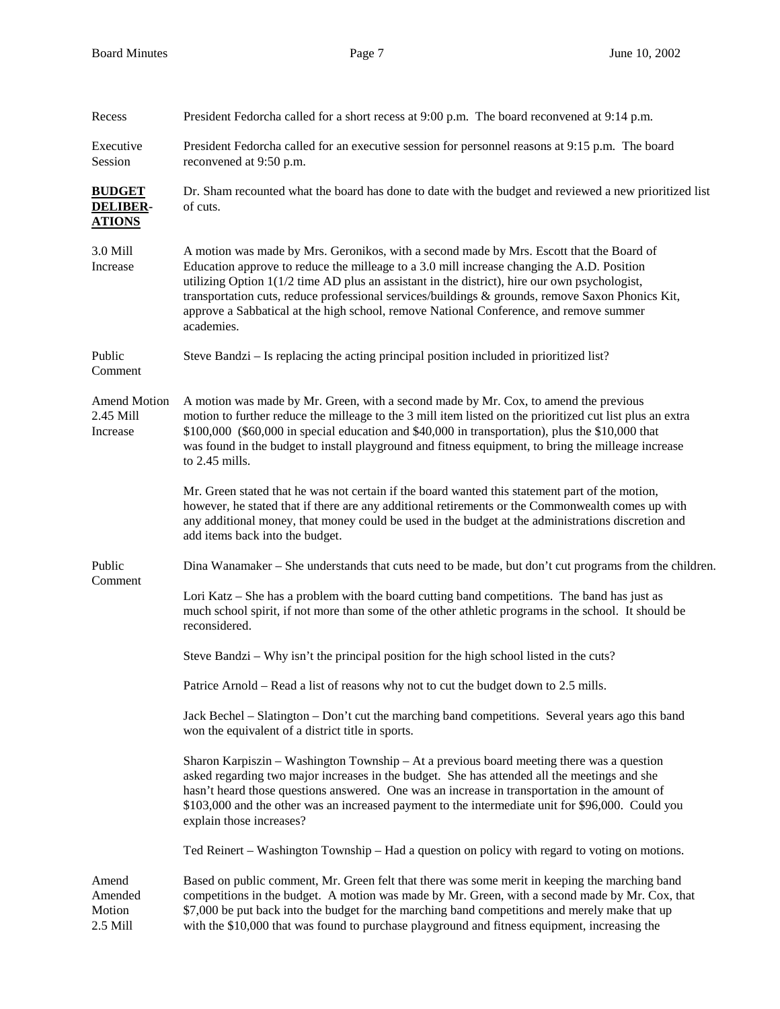| Recess                                            | President Fedorcha called for a short recess at 9:00 p.m. The board reconvened at 9:14 p.m.                                                                                                                                                                                                                                                                                                                                                                                                            |  |  |  |  |
|---------------------------------------------------|--------------------------------------------------------------------------------------------------------------------------------------------------------------------------------------------------------------------------------------------------------------------------------------------------------------------------------------------------------------------------------------------------------------------------------------------------------------------------------------------------------|--|--|--|--|
| Executive<br>Session                              | President Fedorcha called for an executive session for personnel reasons at 9:15 p.m. The board<br>reconvened at 9:50 p.m.                                                                                                                                                                                                                                                                                                                                                                             |  |  |  |  |
| <b>BUDGET</b><br><b>DELIBER-</b><br><b>ATIONS</b> | Dr. Sham recounted what the board has done to date with the budget and reviewed a new prioritized list<br>of cuts.                                                                                                                                                                                                                                                                                                                                                                                     |  |  |  |  |
| 3.0 Mill<br>Increase                              | A motion was made by Mrs. Geronikos, with a second made by Mrs. Escott that the Board of<br>Education approve to reduce the milleage to a 3.0 mill increase changing the A.D. Position<br>utilizing Option $1(1/2)$ time AD plus an assistant in the district), hire our own psychologist,<br>transportation cuts, reduce professional services/buildings & grounds, remove Saxon Phonics Kit,<br>approve a Sabbatical at the high school, remove National Conference, and remove summer<br>academies. |  |  |  |  |
| Public<br>Comment                                 | Steve Bandzi – Is replacing the acting principal position included in prioritized list?                                                                                                                                                                                                                                                                                                                                                                                                                |  |  |  |  |
| <b>Amend Motion</b><br>2.45 Mill<br>Increase      | A motion was made by Mr. Green, with a second made by Mr. Cox, to amend the previous<br>motion to further reduce the milleage to the 3 mill item listed on the prioritized cut list plus an extra<br>$$100,000$ (\$60,000 in special education and \$40,000 in transportation), plus the \$10,000 that<br>was found in the budget to install playground and fitness equipment, to bring the milleage increase<br>to 2.45 mills.                                                                        |  |  |  |  |
|                                                   | Mr. Green stated that he was not certain if the board wanted this statement part of the motion,<br>however, he stated that if there are any additional retirements or the Commonwealth comes up with<br>any additional money, that money could be used in the budget at the administrations discretion and<br>add items back into the budget.                                                                                                                                                          |  |  |  |  |
| Public                                            | Dina Wanamaker – She understands that cuts need to be made, but don't cut programs from the children.                                                                                                                                                                                                                                                                                                                                                                                                  |  |  |  |  |
| Comment                                           | Lori Katz – She has a problem with the board cutting band competitions. The band has just as<br>much school spirit, if not more than some of the other athletic programs in the school. It should be<br>reconsidered.                                                                                                                                                                                                                                                                                  |  |  |  |  |
|                                                   | Steve Bandzi – Why isn't the principal position for the high school listed in the cuts?                                                                                                                                                                                                                                                                                                                                                                                                                |  |  |  |  |
|                                                   | Patrice Arnold - Read a list of reasons why not to cut the budget down to 2.5 mills.                                                                                                                                                                                                                                                                                                                                                                                                                   |  |  |  |  |
|                                                   | Jack Bechel – Slatington – Don't cut the marching band competitions. Several years ago this band<br>won the equivalent of a district title in sports.                                                                                                                                                                                                                                                                                                                                                  |  |  |  |  |
|                                                   | Sharon Karpiszin – Washington Township – At a previous board meeting there was a question<br>asked regarding two major increases in the budget. She has attended all the meetings and she<br>hasn't heard those questions answered. One was an increase in transportation in the amount of<br>\$103,000 and the other was an increased payment to the intermediate unit for \$96,000. Could you<br>explain those increases?                                                                            |  |  |  |  |
|                                                   | Ted Reinert – Washington Township – Had a question on policy with regard to voting on motions.                                                                                                                                                                                                                                                                                                                                                                                                         |  |  |  |  |
| Amend<br>Amended<br>Motion<br>2.5 Mill            | Based on public comment, Mr. Green felt that there was some merit in keeping the marching band<br>competitions in the budget. A motion was made by Mr. Green, with a second made by Mr. Cox, that<br>\$7,000 be put back into the budget for the marching band competitions and merely make that up<br>with the \$10,000 that was found to purchase playground and fitness equipment, increasing the                                                                                                   |  |  |  |  |